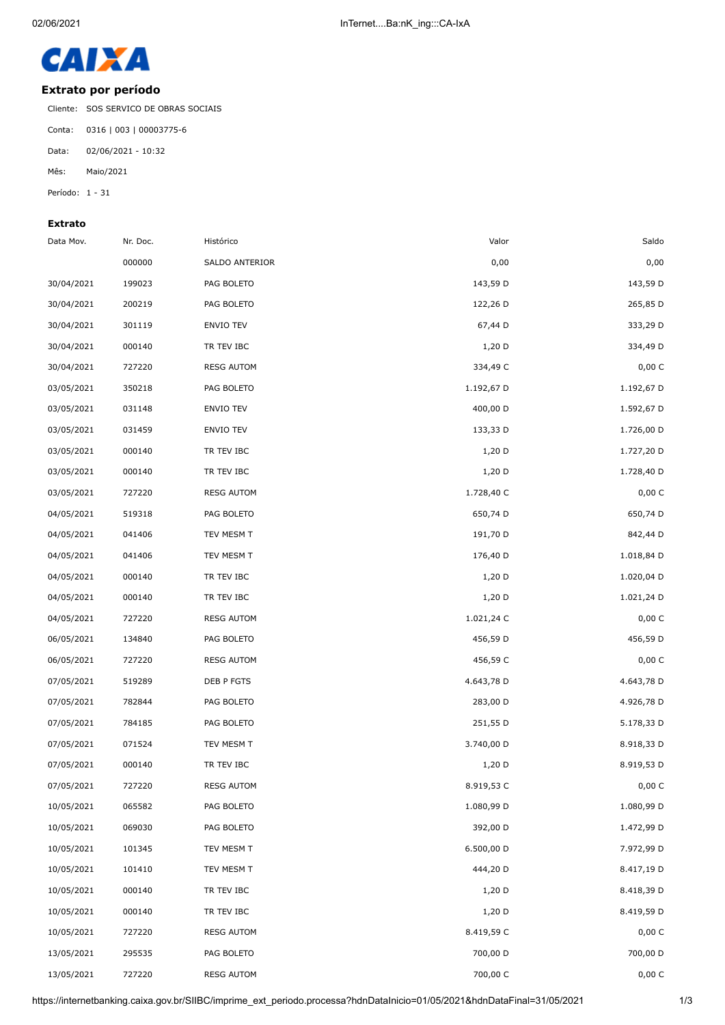

## **Extrato por período**

Cliente: SOS SERVICO DE OBRAS SOCIAIS

Conta: 0316 | 003 | 00003775-6

Data: 02/06/2021 - 10:32

Mês: Maio/2021

Período: 1 - 31

## **Extrato**

| Saldo      | Valor      | Histórico         | Nr. Doc. | Data Mov.  |
|------------|------------|-------------------|----------|------------|
| 0,00       | 0,00       | SALDO ANTERIOR    | 000000   |            |
| 143,59 D   | 143,59 D   | PAG BOLETO        | 199023   | 30/04/2021 |
| 265,85 D   | 122,26 D   | PAG BOLETO        | 200219   | 30/04/2021 |
| 333,29 D   | 67,44 D    | <b>ENVIO TEV</b>  | 301119   | 30/04/2021 |
| 334,49 D   | $1,20$ D   | TR TEV IBC        | 000140   | 30/04/2021 |
| 0,00 C     | 334,49 C   | <b>RESG AUTOM</b> | 727220   | 30/04/2021 |
| 1.192,67 D | 1.192,67 D | PAG BOLETO        | 350218   | 03/05/2021 |
| 1.592,67 D | 400,00 D   | <b>ENVIO TEV</b>  | 031148   | 03/05/2021 |
| 1.726,00 D | 133,33 D   | <b>ENVIO TEV</b>  | 031459   | 03/05/2021 |
| 1.727,20 D | $1,20$ D   | TR TEV IBC        | 000140   | 03/05/2021 |
| 1.728,40 D | $1,20$ D   | TR TEV IBC        | 000140   | 03/05/2021 |
| 0,00 C     | 1.728,40 C | <b>RESG AUTOM</b> | 727220   | 03/05/2021 |
| 650,74 D   | 650,74 D   | PAG BOLETO        | 519318   | 04/05/2021 |
| 842,44 D   | 191,70 D   | TEV MESM T        | 041406   | 04/05/2021 |
| 1.018,84 D | 176,40 D   | TEV MESM T        | 041406   | 04/05/2021 |
| 1.020,04 D | $1,20$ D   | TR TEV IBC        | 000140   | 04/05/2021 |
| 1.021,24 D | $1,20$ D   | TR TEV IBC        | 000140   | 04/05/2021 |
| 0,00 C     | 1.021,24 C | <b>RESG AUTOM</b> | 727220   | 04/05/2021 |
| 456,59 D   | 456,59 D   | PAG BOLETO        | 134840   | 06/05/2021 |
| 0,00 C     | 456,59 C   | <b>RESG AUTOM</b> | 727220   | 06/05/2021 |
| 4.643,78 D | 4.643,78 D | DEB P FGTS        | 519289   | 07/05/2021 |
| 4.926,78 D | 283,00 D   | PAG BOLETO        | 782844   | 07/05/2021 |
| 5.178,33 D | 251,55 D   | PAG BOLETO        | 784185   | 07/05/2021 |
| 8.918,33 D | 3.740,00 D | TEV MESM T        | 071524   | 07/05/2021 |
| 8.919,53 D | $1,20$ D   | TR TEV IBC        | 000140   | 07/05/2021 |
| 0,00 C     | 8.919,53 C | <b>RESG AUTOM</b> | 727220   | 07/05/2021 |
| 1.080,99 D | 1.080,99 D | PAG BOLETO        | 065582   | 10/05/2021 |
| 1.472,99 D | 392,00 D   | PAG BOLETO        | 069030   | 10/05/2021 |
| 7.972,99 D | 6.500,00 D | TEV MESM T        | 101345   | 10/05/2021 |
| 8.417,19 D | 444,20 D   | TEV MESM T        | 101410   | 10/05/2021 |
| 8.418,39 D | $1,20$ D   | TR TEV IBC        | 000140   | 10/05/2021 |
| 8.419,59 D | $1,20$ D   | TR TEV IBC        | 000140   | 10/05/2021 |
| 0,00C      | 8.419,59 C | <b>RESG AUTOM</b> | 727220   | 10/05/2021 |
| 700,00 D   | 700,00 D   | PAG BOLETO        | 295535   | 13/05/2021 |
| 0,00C      | 700,00 C   | <b>RESG AUTOM</b> | 727220   | 13/05/2021 |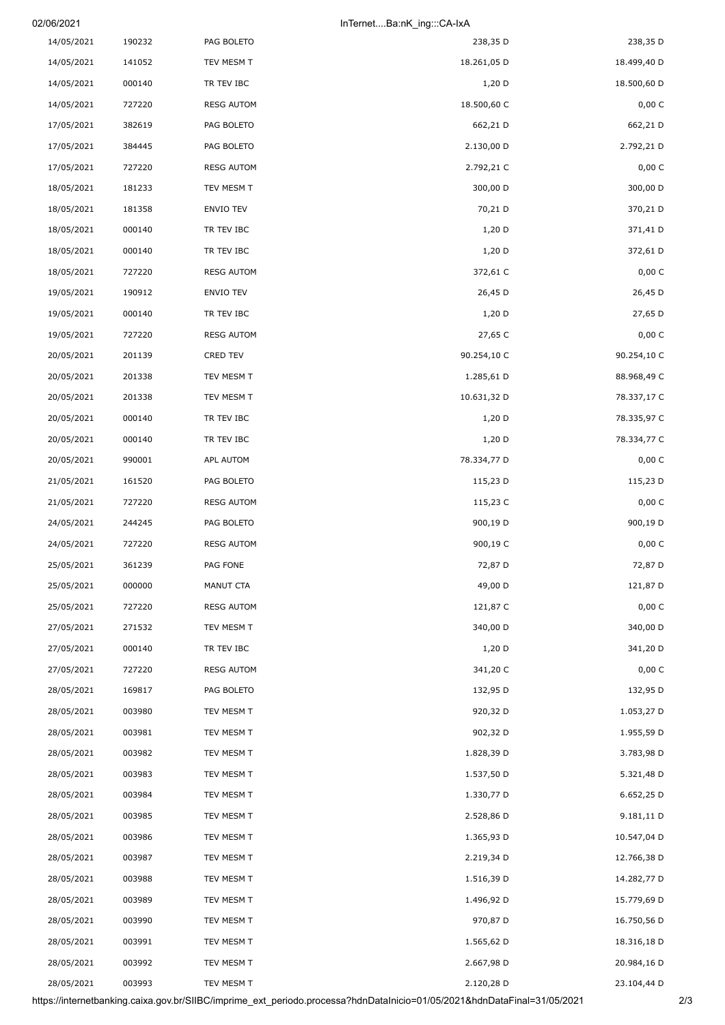| 02/06/2021 |        |            | InTernetBa:nK ing:::CA-IxA |
|------------|--------|------------|----------------------------|
| 14/05/2021 | 190232 | PAG BOLETO | 238,35 D                   |

| 238,35 D    | 238,35 D    | PAG BOLETO        | 190232 | 14/05/2021 |
|-------------|-------------|-------------------|--------|------------|
| 18.499,40 D | 18.261,05 D | TEV MESM T        | 141052 | 14/05/2021 |
| 18.500,60 D | $1,20$ D    | TR TEV IBC        | 000140 | 14/05/2021 |
| 0,00 C      | 18.500,60 C | <b>RESG AUTOM</b> | 727220 | 14/05/2021 |
| 662,21 D    | 662,21 D    | PAG BOLETO        | 382619 | 17/05/2021 |
| 2.792,21 D  | 2.130,00 D  | PAG BOLETO        | 384445 | 17/05/2021 |
| 0,00 C      | 2.792,21 C  | <b>RESG AUTOM</b> | 727220 | 17/05/2021 |
| 300,00 D    | 300,00 D    | TEV MESM T        | 181233 | 18/05/2021 |
| 370,21 D    | 70,21 D     | ENVIO TEV         | 181358 | 18/05/2021 |
| 371,41 D    | $1,20$ D    | TR TEV IBC        | 000140 | 18/05/2021 |
| 372,61 D    | $1,20$ D    | TR TEV IBC        | 000140 | 18/05/2021 |
| 0,00 C      | 372,61 C    | <b>RESG AUTOM</b> | 727220 | 18/05/2021 |
| 26,45 D     | 26,45 D     | ENVIO TEV         | 190912 | 19/05/2021 |
| 27,65 D     | $1,20$ D    | TR TEV IBC        | 000140 | 19/05/2021 |
| 0,00 C      | 27,65 C     | <b>RESG AUTOM</b> | 727220 | 19/05/2021 |
| 90.254,10 C | 90.254,10 C | CRED TEV          | 201139 | 20/05/2021 |
| 88.968,49 C | 1.285,61 D  | TEV MESM T        | 201338 | 20/05/2021 |
| 78.337,17 C | 10.631,32 D | TEV MESM T        | 201338 | 20/05/2021 |
| 78.335,97 C | $1,20$ D    | TR TEV IBC        | 000140 | 20/05/2021 |
| 78.334,77 C | $1,20$ D    | TR TEV IBC        | 000140 | 20/05/2021 |
| 0,00 C      | 78.334,77 D | APL AUTOM         | 990001 | 20/05/2021 |
| 115,23 D    | 115,23 D    | PAG BOLETO        | 161520 | 21/05/2021 |
| 0,00 C      | 115,23 C    | <b>RESG AUTOM</b> | 727220 | 21/05/2021 |
| 900,19 D    | 900,19 D    | PAG BOLETO        | 244245 | 24/05/2021 |
| 0,00 C      |             |                   |        |            |
|             | 900,19 C    | <b>RESG AUTOM</b> | 727220 | 24/05/2021 |
| 72,87 D     | 72,87 D     | PAG FONE          | 361239 | 25/05/2021 |
| 121,87 D    | 49,00 D     | MANUT CTA         | 000000 | 25/05/2021 |
| 0,00 C      | 121,87 C    | <b>RESG AUTOM</b> | 727220 | 25/05/2021 |
| 340,00 D    | 340,00 D    | TEV MESM T        | 271532 | 27/05/2021 |
| 341,20 D    | $1,20$ D    | TR TEV IBC        | 000140 | 27/05/2021 |
| 0,00 C      | 341,20 C    | <b>RESG AUTOM</b> | 727220 | 27/05/2021 |
| 132,95 D    | 132,95 D    | PAG BOLETO        | 169817 | 28/05/2021 |
| 1.053,27 D  | 920,32 D    | TEV MESM T        | 003980 | 28/05/2021 |
| 1.955,59 D  | 902,32 D    | TEV MESM T        | 003981 | 28/05/2021 |
| 3.783,98 D  | 1.828,39 D  | TEV MESM T        | 003982 | 28/05/2021 |
| 5.321,48 D  | 1.537,50 D  | TEV MESM T        | 003983 | 28/05/2021 |
| 6.652,25 D  | 1.330,77 D  | TEV MESM T        | 003984 | 28/05/2021 |
| 9.181,11 D  | 2.528,86 D  | TEV MESM T        | 003985 | 28/05/2021 |
| 10.547,04 D | 1.365,93 D  | TEV MESM T        | 003986 | 28/05/2021 |
| 12.766,38 D | 2.219,34 D  | TEV MESM T        | 003987 | 28/05/2021 |
| 14.282,77 D | 1.516,39 D  | TEV MESM T        | 003988 | 28/05/2021 |
| 15.779,69 D | 1.496,92 D  | TEV MESM T        | 003989 | 28/05/2021 |
| 16.750,56 D | 970,87 D    | TEV MESM T        | 003990 | 28/05/2021 |
| 18.316,18 D | 1.565,62 D  | TEV MESM T        | 003991 | 28/05/2021 |
| 20.984,16 D | 2.667,98 D  | TEV MESM T        | 003992 | 28/05/2021 |
| 23.104,44 D | 2.120,28 D  | TEV MESM T        | 003993 | 28/05/2021 |
|             |             |                   |        |            |